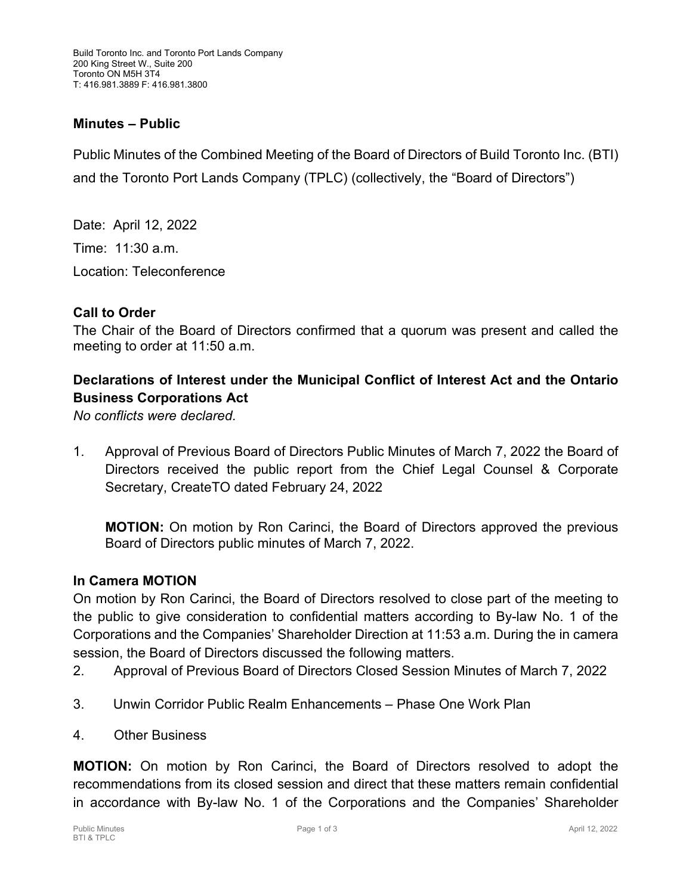### **Minutes – Public**

Public Minutes of the Combined Meeting of the Board of Directors of Build Toronto Inc. (BTI) and the Toronto Port Lands Company (TPLC) (collectively, the "Board of Directors")

Date: April 12, 2022 Time: 11:30 a.m. Location: Teleconference

#### **Call to Order**

The Chair of the Board of Directors confirmed that a quorum was present and called the meeting to order at 11:50 a.m.

# **Declarations of Interest under the Municipal Conflict of Interest Act and the Ontario Business Corporations Act**

*No conflicts were declared.*

1. Approval of Previous Board of Directors Public Minutes of March 7, 2022 the Board of Directors received the public report from the Chief Legal Counsel & Corporate Secretary, CreateTO dated February 24, 2022

**MOTION:** On motion by Ron Carinci, the Board of Directors approved the previous Board of Directors public minutes of March 7, 2022.

#### **In Camera MOTION**

On motion by Ron Carinci, the Board of Directors resolved to close part of the meeting to the public to give consideration to confidential matters according to By-law No. 1 of the Corporations and the Companies' Shareholder Direction at 11:53 a.m. During the in camera session, the Board of Directors discussed the following matters.

- 2. Approval of Previous Board of Directors Closed Session Minutes of March 7, 2022
- 3. Unwin Corridor Public Realm Enhancements Phase One Work Plan
- 4. Other Business

**MOTION:** On motion by Ron Carinci, the Board of Directors resolved to adopt the recommendations from its closed session and direct that these matters remain confidential in accordance with By-law No. 1 of the Corporations and the Companies' Shareholder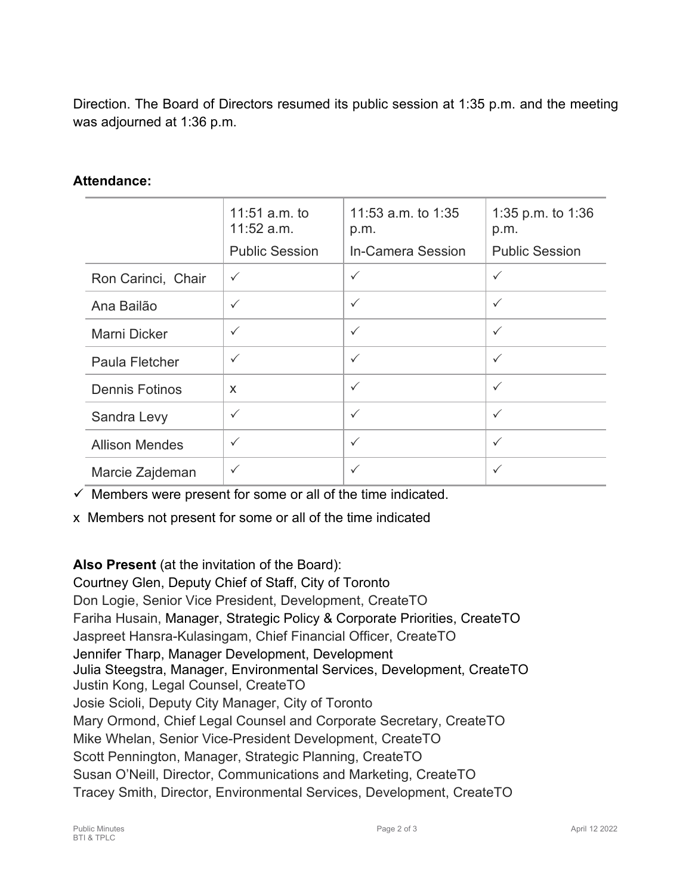Direction. The Board of Directors resumed its public session at 1:35 p.m. and the meeting was adjourned at 1:36 p.m.

### **Attendance:**

|                       | 11:51 $a.m.$ to<br>11:52 a.m. | 11:53 a.m. to $1:35$<br>p.m. | 1:35 p.m. to $1:36$<br>p.m. |
|-----------------------|-------------------------------|------------------------------|-----------------------------|
|                       | <b>Public Session</b>         | In-Camera Session            | <b>Public Session</b>       |
| Ron Carinci, Chair    | $\checkmark$                  | $\checkmark$                 | $\checkmark$                |
| Ana Bailão            | $\checkmark$                  | $\checkmark$                 | $\checkmark$                |
| Marni Dicker          | $\checkmark$                  | $\checkmark$                 | $\checkmark$                |
| Paula Fletcher        | $\checkmark$                  | $\checkmark$                 | $\checkmark$                |
| <b>Dennis Fotinos</b> | X                             | $\checkmark$                 | $\checkmark$                |
| Sandra Levy           | $\checkmark$                  | $\checkmark$                 | $\checkmark$                |
| <b>Allison Mendes</b> | $\checkmark$                  | $\checkmark$                 | $\checkmark$                |
| Marcie Zajdeman       | ✓                             | $\checkmark$                 | $\checkmark$                |

 $\checkmark$  Members were present for some or all of the time indicated.

x Members not present for some or all of the time indicated

# **Also Present** (at the invitation of the Board):

Courtney Glen, Deputy Chief of Staff, City of Toronto Don Logie, Senior Vice President, Development, CreateTO Fariha Husain, Manager, Strategic Policy & Corporate Priorities, CreateTO Jaspreet Hansra-Kulasingam, Chief Financial Officer, CreateTO Jennifer Tharp, Manager Development, Development Julia Steegstra, Manager, Environmental Services, Development, CreateTO Justin Kong, Legal Counsel, CreateTO Josie Scioli, Deputy City Manager, City of Toronto Mary Ormond, Chief Legal Counsel and Corporate Secretary, CreateTO Mike Whelan, Senior Vice-President Development, CreateTO Scott Pennington, Manager, Strategic Planning, CreateTO Susan O'Neill, Director, Communications and Marketing, CreateTO Tracey Smith, Director, Environmental Services, Development, CreateTO